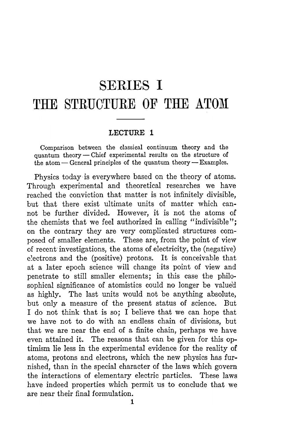## SERIES I THE STRUCTURE OF THE ATOM

## LECTURE 1

Comparison between the classical continuum theory and the quantum theory - Chief experimental results on the structure of the atom  $-$  General principles of the quantum theory  $-$  Examples.

Physics today is everywhere based on the theory of atoms. Through experimental and theoretical researches we have reached the conviction that matter is not infinitely divisible. but that there exist ultimate units of matter which cannot be further divided. However, it is not the atoms of the chemists that we feel authorized in calling "indivisible": on the contrary they are very complicated structures composed of smaller elements. These are, from the point of view of recent investigations, the atoms of electricity, the (negative) electrons and the (positive) protons. It is conceivable that at a later epoch science will change its point of view and penetrate to still smaller elements; in this case the philosophical significance of atomistics could no longer be value'd as highly. The last units would not be anything absolute, but only a measure of the present status of science. But but only a measure of the present status of science. I do not think that is so; I believe that we can hope that we have not to do with an endless chain of divisions, but that we are near the end of a finite chain, perhaps we have even attained it. The reasons that can be given for this optimism lie less in the experimental evidence for the reality of atoms, protons and electrons, which the new physics has furhelphoral, than in the special character of the laws which govern the interactions of elementary electric particles. These laws have indeed properties which permit us to conclude that we are near their final formulation.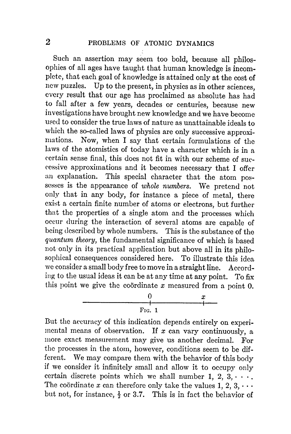Such an assertion may seem too bold, because all philosophies of all ages have taught that human knowledge is incomplete, that each goal of knowledge is attained only at the cost of new puzzles. Up to the present, in physics as in other sciences, every result that our age has proclaimed as absolute has had to fall after a few years, decades or centuries, because new investigations have brought new knowledge and we have become investigations have brought ne , v knowledge and we have become  $\sim$  consider the true laws of nature as unature as unature ideals to a vectoral  $\sim$ where so - called laws of physics are only successive approximately successive approximately  $\mathbf{a} \cdot \mathbf{a}$ If and  $\mathcal{V}$  , where  $\mathcal{V}$  is a saturations of the certain formulations of the theorem  $\mathcal{V}$ laws of the atomistics of today have a character which is in a certain sense final, this does not fit in with our scheme of successive approximations and it becomes necessary that I offer an explanation. This special character that the atom possesses is the appearance of whole numbers. We pretend not only that in any body, for instance a piece of metal, there exist a certain finite number of atoms or electrons, but further exist a certain finite number of atoms or electrons , but further , but further , but further , but further , but further , but further , but further , but further , but further , but further , but further , but further , that the properties of a single atom and the properties of a single atom and the process estimated which is  $\mathcal{L}_1$ occur during the interaction of several atoms are capable of being described by whole numbers. This is the substance of the quantum theory, the fundamental significance of which is based not only in its practical application but above all in its philosophical consequences considered here. To illustrate this idea we consider a small body free to move in a straight line. According to the usual ideas it can be at any time at any point. To fix this point we give the coordinate  $x$  measured from a point  $0$ . tilis I  $\omega$  is a measured from 11 point of  $\omega$  measured from 11 point of .

|        | $\boldsymbol{r}$ |  |
|--------|------------------|--|
| Fig. 1 |                  |  |

Ĭ.

But the accuracy of this indication depends entirely on experinut the a ( ' ( : ur : . tcy of this indication depends entirely on experimental  $\cdots$  of observation . If we can vary continuusly, a more exact measurement may give us another decimal. For the processes in the atom, however, conditions seem to be different. We may compare them with the behavior of this body if we consider it infinitely small and allow it to occupy only certain discrete points which we shall number 1, 2,  $3 \cdot \cdot \cdot$ . The coördinate x can therefore only take the values 1, 2, 3,  $\cdots$  $\sim$  coordinate the values 1 , 2 , 3  $\sim$  2 , 3  $\sim$  3  $\sim$  3  $\sim$  3  $\sim$  3  $\sim$  3  $\sim$  3  $\sim$  3  $\sim$  3  $\sim$  3  $\sim$  3  $\sim$  3  $\sim$  3  $\sim$  3  $\sim$  3  $\sim$  3  $\sim$  3  $\sim$  3  $\sim$  3  $\sim$  3  $\sim$  3  $\sim$  3  $\sim$  3  $\sim$  3  $\sim$  3  $\sim$  but not , for instance , for  $f$  , for  $3$  . This is in fact the bellavior of  $\alpha$  . This is in fact the bellavior of  $\alpha$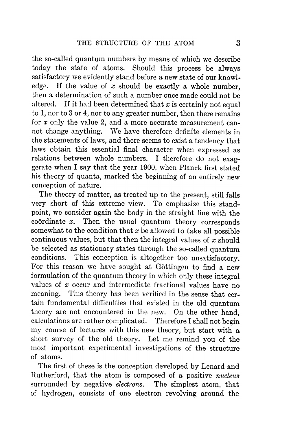the so-called quantum numbers by means of which we describe today the state of atoms. Should this process be always satisfactory we evidently stand before a new state of our knowledge. If the value of  $x$  should be exactly a whole number, then a determination of such a number once made could not be altered. If it had been determined that  $x$  is certainly not equal to 1, nor to 3 or 4, nor to any greater number , then there remains for  $x$  only the value 2, and a more accurate measurement cannot change anything. We have therefore definite elements in the statements of la\vs, and there seems to exist a tendency that laws obtain this essential final character when expressed as relations between whole numbers. I therefore do not exaggerate when I say that the year 1900, when Planck first stated his theory of quanta, marked the beginning of an entirely new conception of nature.

The theory of matter, as treated up to the present, still falls very short of this extreme view. To emphasize this standpoint, we consider again the body in the straight line with the  $coördinate$   $x$ . Then the usual quantum theory corresponds somewhat to the condition that  $x$  be allowed to take all possible continuous values, but that then the integral values of  $x$  should be selected as stationary states through the so-called quantum conditions. This conception is altogether too unsatisfactory. This conception is altogether too unsatisfactory. For this reason we have sought at Göttingen to find a new formulation of the quantum theory in \vhich only these integral values of  $x$  occur and intermediate fractional values have no meaning. This theory has been verified in the sense that cerfundamental difficulties that existed in the old quantum theory are not encountered in the new. On the other hand, calculations are rather complicated. Therefore I shall not begin my course of lectures with this new theory, but start with a short survey of the old theory. Let me remind you of the most important experimental investigations of the structure of atoms.

The first of these is the conception developed by Lenard and Rutherford, that the atom is composed of a positive nucleus surrounded by negative electrons. The simplest atom, that of hydrogen, consists of one electron revolving around the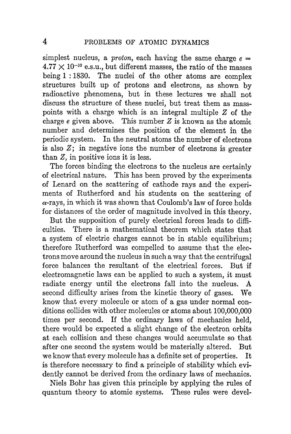simplest nucleus, a *proton*, each having the same charge  $e =$  $4.77 \times 10^{-10}$  e.s.u., but different masses, the ratio of the masses being 1 : 1830. The nuclei of the other atoms are complex structures built up of protons and electrons, as shown by radioactive phenomena, but in these lectures we shall not discuss the structure of these nuclei, but treat them as masspoints with a charge which is an integral multiple Z of the charge  $e$  given above. This number  $Z$  is known as the atomic number and determines the position of the element in the periodic system. In the neutral atoms the number of electrons is also  $Z$ ; in negative ions the number of electrons is greater than  $Z$ , in positive ions it is less.

The forces binding the electrons to the nucleus are certainly of electrical nature. This has been proved by the experiments of Lenard on the scattering of cathode rays and the experiments of Rutherford and his students on the scattering of  $\alpha$ -rays, in which it was shown that Coulomb's law of force holds for distances of the order of magnitude involved in this theory .

But the supposition of purely electrical forces leads to difficulties. There is a mathematical theorem which states that . There is a mathematical theorem which states that a system of electric charges cannot be in stable equilibrium ; therefore Rutherford was compelled to assume that the elecmove around the nucleus in such a way that the centrifugal force balances the resultant of the electrical forces. But if electromagnetic laws can be applied to such a system, it must radiate energy until the electrons fall into the nucleus. A second difficulty arises from the kinetic theory of gases. We know that every molecule or atom of a gas under normal conditions collides with other molecules or atoms about 100,000,000 times per second. If the ordinary laws of mechanics held, there would be expected a slight change of the electron orbits at each collision and these changes would accumulate so that after one second the system would be materially altered. But we know that every molecule has a definite set of properties. It is therefore necessary to find a principle of stability which evidently cannot be derived from the ordinary laws of mechanics.

Niels Bohr has given this principle by applying the rules of quantum theory to atomic systems. These rules were devel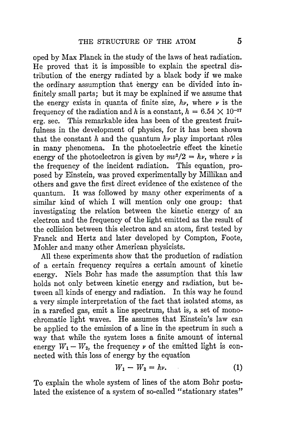oped by Max Planck in the study of the laws of heat radiation. He proved that it is impossible to explain the spectral distribution of the energy radiated by a black body if we make the ordinary assumption that energy can be divided into infinitely small parts; but it may be explained if we assume that the energy exists in quanta of finite size,  $h\nu$ , where  $\nu$  is the frequency of the radiation and h is a constant,  $h = 6.54 \times 10^{-27}$ erg. sec. This remarkable idea has been of the greatest fruitfulness in the development of physics, for it has been shown that the constant h and the quantum  $h\nu$  play important rôles in many phenomena. In the photoelectric effect the kinetic energy of the photoelectron is given by  $mv^2/2 = hv$ , where v is the frequency of the incident radiation. This equation, proby Einstein, was proved experimentally by Millikan and others and gave the first direct evidence of the existence of the quantum. It was followed by many other experiments of a similar kind of which I will mention only one group: that investigating the relation between the kinetic energy of an electron and the frequency of the light emitted as the result of the collision between this electron and an atom, first tested by Franck and Hertz and later developed by Compton, Foote, Mohler and many other American physicists.

All these experiments show that the production of radiation of a certain frequency requires a certain amount of kinetic energy. Niels Bohr has made the assumption that this law holds not only between kinetic energy and radiation, but between all kinds of energy and radiation. In this way he found a very simple interpretation of the fact that isolated atoms, as in a rarefied gas, emit a line spectrum, that is, a set of monochromatic light waves. He assumes that Einstein's law can be applied to the emission of a line in the spectrum in such a way that while the system loses a finite amount of internal energy  $W_1 - W_2$ , the frequency  $\nu$  of the emitted light is connected with this loss of energy by the equation

$$
W_1 - W_2 = h\nu. \tag{1}
$$

To explain the whole system of lines of the atom Bohr postulated the existence of a system of so-called "stationary states"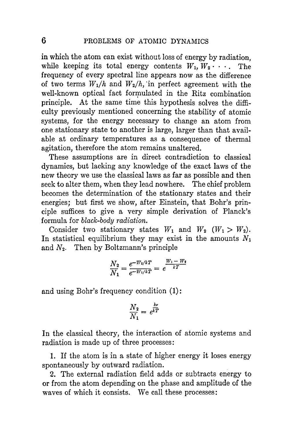in which the atom can exist without loss of energy by radiation, while keeping its total energy contents  $W_1, W_2 \cdot \cdot \cdot$ . The frequency of every spectral line appears now as the difference of two terms  $W_1/h$  and  $W_2/h$ , in perfect agreement with the well-known optical fact forrpulated in the Ritz combination principle. At the same time this hypothesis solves the difficulty previously mentioned concerning the stability of atomic systems, for the energy necessary to change an atom from one stationary state to another is large, larger than that available at ordinary temperatures as a consequence of thermal agitation, therefore the atom remains unaltered.

These assumptions are in direct contradiction to classical dynamics, but lacking any knowledge of the exact laws of the new theory we use the classical laws as far as possible and then seek to alter them, when they lead nowhere. The chief problem becomes the determination of the stationary states and their energies; but first we show, after Einstein, that Bohr's prinsuffices to give a very simple derivation of Planck's formula for black-body radiation.

Consider two stationary states  $W_1$  and  $W_2$   $(W_1 > W_2)$ . In statistical equilibrium they may exist in the amounts  $N_1$ and  $N_2$ . Then by Boltzmann's principle

$$
\frac{N_2}{N_1} = \frac{e^{-W_2/kT}}{e^{-W_1/kT}} = e^{\frac{W_1 - W_2}{kT}}
$$

and using Bohr's frequency condition  $(1)$ :

$$
\frac{N_2}{N_1} = e^{\frac{h\nu}{kT}}
$$

In the classical theory, the interaction of atomic systems and radiation is made up of three processes:

1. If the atom is in a state of higher energy it loses energy spontaneously by outward radiation.

2. The external radiation field adds or subtracts energy to or from the atom depending on the phase and amplitude of the waves of which it consists. We call these processes: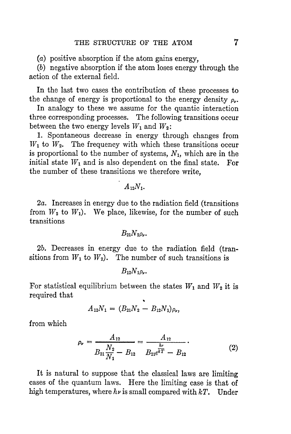$(a)$  positive absorption if the atom gains energy,

(b) negative absorption if the atom loses energy through the action of the external field.

In the last two cases the contribution of these processes to the change of energy is proportional to the energy density  $\rho_{\nu}$ .

In analogy to these we assume for the quantic interaction three corresponding processes. The following transitions occur between the two energy levels  $W_1$  and  $W_2$ :

1. Spontaneous decrease in energy through changes from  $W_1$  to  $W_2$ . The frequency with which these transitions occur is proportional to the number of systems,  $N_1$ , which are in the initial state  $W_1$  and is also dependent on the final state. For the number of these transitions we therefore write,

 $A_{12}N_1$ .

2a. Increases in energy due to the radiation field (transitions from  $W_2$  to  $W_1$ ). We place, likewise, for the number of such transitions

$$
B_{\rm 21} N_{\rm 2} \rho_{\nu}.
$$

2b. Decreases in energy due to the radiation field (transitions from  $W_1$  to  $W_2$ ). The number of such transitions is

 $B_{12}N_1\rho_\nu$ .

For statistical equilibrium between the states  $W_1$  and  $W_2$  it is required that ,

$$
A_{12}N_1 = (B_{21}N_2 - B_{12}N_1)\rho_{\nu},
$$

from which

$$
\rho_{\nu} = \frac{A_{12}}{B_{21} \frac{N_2}{N_1} - B_{12}} = \frac{A_{12}}{B_{21} e^{\overline{kT}} - B_{12}}.
$$
\n(2)

It is natural to suppose that the classical laws are limiting cases of the quantum laws. Here the limiting case is that of high temperatures, where  $h\nu$  is small compared with  $kT$ . Under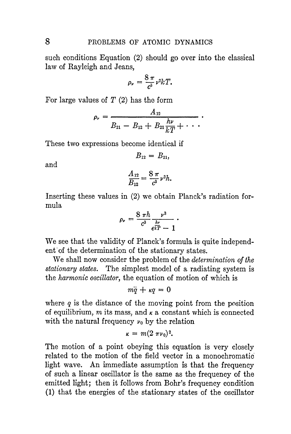such conditions Equation  $(2)$  should go over into the classical law of Rayleigh and Jeans.

$$
\rho_{\nu}=\frac{8\,\pi}{c^3}\,\nu^2 k T.
$$

For large values of  $T(2)$  has the form

$$
\rho_{\nu} = \frac{A_{12}}{B_{21} - B_{12} + B_{21} \frac{h\nu}{kT} + \cdots}.
$$

These two expressions become identical if

$$
B_{12}=B_{21},\quad
$$

and

$$
\frac{A_{12}}{B_{12}} = \frac{8 \pi}{c^3} \nu^3 h.
$$

Inserting these values in (2) we obtain Planck's radiation formula

$$
\rho_{\nu} = \frac{8 \pi h}{c^3} \frac{\nu^3}{e^{\frac{h\nu}{kT}} - 1}.
$$

We see that the validity of Planck's formula is quite independent of the determination of the stationary states.

We shall now consider the problem of the *determination* of the stationary states. The simplest model of a radiating system is the harmonic oscillator, the equation of motion of which is

$$
m\ddot{q}+\kappa q=0
$$

where  $q$  is the distance of the moving point from the position of equilibrium,  $m$  its mass, and  $\kappa$  a constant which is connected with the natural frequency  $\nu_0$  by the relation

$$
\kappa = m(2 \pi \nu_0)^2.
$$

The motion of a point obeying this equation is very closely related to the motion of the field vector in a monochromatic light wave. An immediate assumption is that the frequency of such a linear oscillator is the same as the frequency of the emitted light; then it follows from Bohr's frequency condition (1) that the energies of the stationary states of the oscillator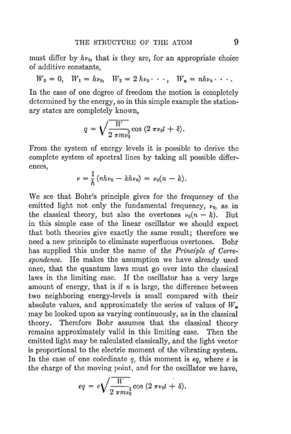must differ by  $h\nu_0$ , that is they are, for an appropriate choice of additive constants ,

 $W_0 = 0$ ,  $W_1 = h\nu_0$ ,  $W_2 = 2h\nu_0 \cdot \cdot \cdot$ ,  $W_n = nh\nu_0 \cdot \cdot \cdot$ .

In the case of one degree of freedom the motion is completely determined by the energy, so in this simple example the stationary states are completely known.

$$
q = \sqrt{\frac{W}{2 \pi m v_0^2}} \cos{(2 \pi \nu_0 t + \delta)}.
$$

From the system of energy levels it is possible to derive the complete system of spectral lines by taking all possible differences,

$$
\nu = \frac{1}{h} (nh\nu_0 - kh\nu_0) = \nu_0 (n - k).
$$

We see that Bohr's principle gives for the frequency of the emitted light not only the fundamental frequency,  $\nu_0$ , as in the classical theory, but also the overtones  $\nu_0(n - k)$ . But in this simple case of the linear oscillator we should expect that both theories give exactly the same result: therefore we need a new principle to eliminate superfluous overtones. Bohr has supplied this under the name of the Principle of Correspondence. He makes the assumption we have already used once, that the quantum laws must go over into the classical laws in the limiting case. If the oscillator has a very large amount of energy, that is if  $n$  is large, the difference between two neighboring energy-levels is small compared with their absolute values, and approximately the series of values of  $W_{\star}$ may be looked upon as varying continuously, as in the classical theory. Therefore Bohr assumes that the classical theory remains approximately valid in this limiting case. Then the emitted light may be calculated classically , and the light vector is proportional to the electric moment of the vibrating system. In the case of one coordinate  $q$ , this moment is eq, where e is the charge of the moving point, and for the oscillator we have.

$$
eq = e \sqrt{\frac{W}{2 \pi m v_0^2}} \cos{(2 \pi \nu_0 t + \delta)}.
$$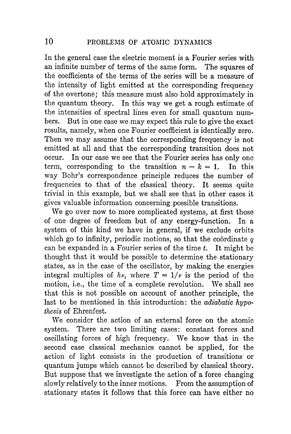In the general case the electric moment is a Fourier series with an infinite number of terms of the same form. The squares of the coefficients of the terms of the series will be a measure of the intensity of light emitted at the corresponding frequency of the overtone; this measure must also hold approximately in the quantum theory. In this way we get a rough estimate of the intensities of spectral lines even for small quantum num-. But in one case we may expect this rule to give the exact results, namely, when one Fourier coefficient is identically zero. Then we may assume that the corresponding frequency is not emitted at all and that the corresponding transition does not occur. In our case we see that the Fourier series has only one<br>term, corresponding to the transition  $n - k = 1$ . In this term, corresponding to the transition  $n - k = 1$ . way Bohr's correspondence principle reduces the number of frequencies to that of the classical theory. It seems quite trivial in this example, but we shall see that in other cases it gives valuable information concerning possible transitions.

We go over now to more complicated systems, at first those of one degree of freedom but of any energy-function. In a system of this kind we have in general, if we exclude orbits which go to infinity, periodic motions, so that the coordinate  $q$ can be expanded in a Fourier series of the time  $t$ . It might be thought that it would be possible to determine the stationary states, as in the case of the oscillator, by making the energies integral multiples of  $h\nu$ , where  $T = 1/\nu$  is the period of the motion, i.e., the time of a complete revolution. We shall see that this is not possible on account of another principle, the last to be mentioned in this introduction: the *adiabatic hypo*thesis of Ehrenfest.

We consider the action of an external force on the atomic system. There are two limiting cases: constant forces and oscillating forces of high frequency. We know that in the second case classical mechanics cannot be applied, for the action of light consists in the production of transitions or quantum jumps which cannot be described by classical theory . But suppose that we investigate the action of a force changing slowly relatively to the inner motions. From the assumption of stationary states it follows that this force. can have either no